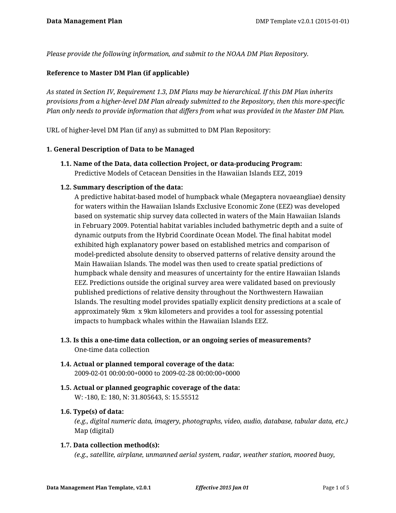*Please provide the following information, and submit to the NOAA DM Plan Repository.*

## **Reference to Master DM Plan (if applicable)**

*As stated in Section IV, Requirement 1.3, DM Plans may be hierarchical. If this DM Plan inherits provisions from a higher-level DM Plan already submitted to the Repository, then this more-specific Plan only needs to provide information that differs from what was provided in the Master DM Plan.*

URL of higher-level DM Plan (if any) as submitted to DM Plan Repository:

#### **1. General Description of Data to be Managed**

**1.1. Name of the Data, data collection Project, or data-producing Program:** Predictive Models of Cetacean Densities in the Hawaiian Islands EEZ, 2019

# **1.2. Summary description of the data:**

A predictive habitat-based model of humpback whale (Megaptera novaeangliae) density for waters within the Hawaiian Islands Exclusive Economic Zone (EEZ) was developed based on systematic ship survey data collected in waters of the Main Hawaiian Islands in February 2009. Potential habitat variables included bathymetric depth and a suite of dynamic outputs from the Hybrid Coordinate Ocean Model. The final habitat model exhibited high explanatory power based on established metrics and comparison of model-predicted absolute density to observed patterns of relative density around the Main Hawaiian Islands. The model was then used to create spatial predictions of humpback whale density and measures of uncertainty for the entire Hawaiian Islands EEZ. Predictions outside the original survey area were validated based on previously published predictions of relative density throughout the Northwestern Hawaiian Islands. The resulting model provides spatially explicit density predictions at a scale of approximately 9km x 9km kilometers and provides a tool for assessing potential impacts to humpback whales within the Hawaiian Islands EEZ.

- **1.3. Is this a one-time data collection, or an ongoing series of measurements?** One-time data collection
- **1.4. Actual or planned temporal coverage of the data:** 2009-02-01 00:00:00+0000 to 2009-02-28 00:00:00+0000
- **1.5. Actual or planned geographic coverage of the data:** W: -180, E: 180, N: 31.805643, S: 15.55512

#### **1.6. Type(s) of data:**

*(e.g., digital numeric data, imagery, photographs, video, audio, database, tabular data, etc.)* Map (digital)

#### **1.7. Data collection method(s):**

*(e.g., satellite, airplane, unmanned aerial system, radar, weather station, moored buoy,*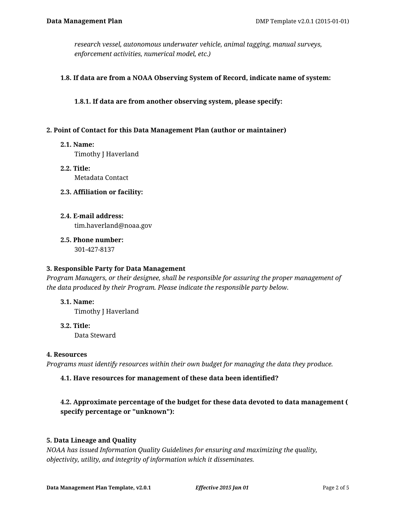*research vessel, autonomous underwater vehicle, animal tagging, manual surveys, enforcement activities, numerical model, etc.)*

## **1.8. If data are from a NOAA Observing System of Record, indicate name of system:**

**1.8.1. If data are from another observing system, please specify:**

## **2. Point of Contact for this Data Management Plan (author or maintainer)**

**2.1. Name:**

Timothy J Haverland

- **2.2. Title:** Metadata Contact
- **2.3. Affiliation or facility:**
- **2.4. E-mail address:**

tim.haverland@noaa.gov

**2.5. Phone number:** 301-427-8137

#### **3. Responsible Party for Data Management**

*Program Managers, or their designee, shall be responsible for assuring the proper management of the data produced by their Program. Please indicate the responsible party below.*

**3.1. Name:**

Timothy J Haverland

**3.2. Title:** Data Steward

# **4. Resources**

*Programs must identify resources within their own budget for managing the data they produce.*

# **4.1. Have resources for management of these data been identified?**

# **4.2. Approximate percentage of the budget for these data devoted to data management ( specify percentage or "unknown"):**

# **5. Data Lineage and Quality**

*NOAA has issued Information Quality Guidelines for ensuring and maximizing the quality, objectivity, utility, and integrity of information which it disseminates.*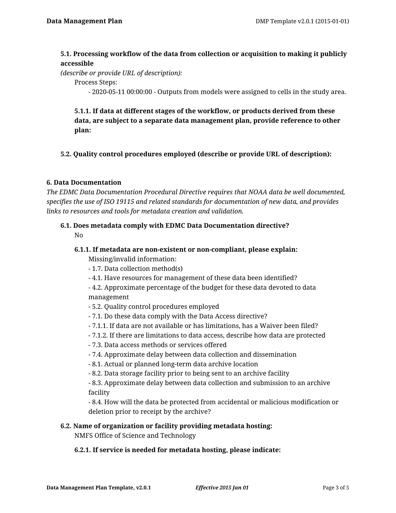# **5.1. Processing workflow of the data from collection or acquisition to making it publicly accessible**

*(describe or provide URL of description):*

Process Steps:

- 2020-05-11 00:00:00 - Outputs from models were assigned to cells in the study area.

**5.1.1. If data at different stages of the workflow, or products derived from these data, are subject to a separate data management plan, provide reference to other plan:**

**5.2. Quality control procedures employed (describe or provide URL of description):**

### **6. Data Documentation**

*The EDMC Data Documentation Procedural Directive requires that NOAA data be well documented, specifies the use of ISO 19115 and related standards for documentation of new data, and provides links to resources and tools for metadata creation and validation.*

# **6.1. Does metadata comply with EDMC Data Documentation directive?**

No

# **6.1.1. If metadata are non-existent or non-compliant, please explain:** Missing/invalid information:

- 1.7. Data collection method(s)

- 4.1. Have resources for management of these data been identified?

- 4.2. Approximate percentage of the budget for these data devoted to data management

- 5.2. Quality control procedures employed
- 7.1. Do these data comply with the Data Access directive?
- 7.1.1. If data are not available or has limitations, has a Waiver been filed?
- 7.1.2. If there are limitations to data access, describe how data are protected
- 7.3. Data access methods or services offered
- 7.4. Approximate delay between data collection and dissemination
- 8.1. Actual or planned long-term data archive location
- 8.2. Data storage facility prior to being sent to an archive facility

- 8.3. Approximate delay between data collection and submission to an archive facility

- 8.4. How will the data be protected from accidental or malicious modification or deletion prior to receipt by the archive?

# **6.2. Name of organization or facility providing metadata hosting:**

NMFS Office of Science and Technology

#### **6.2.1. If service is needed for metadata hosting, please indicate:**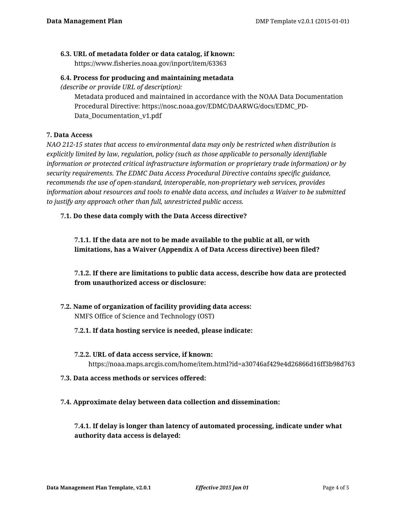# **6.3. URL of metadata folder or data catalog, if known:**

https://www.fisheries.noaa.gov/inport/item/63363

## **6.4. Process for producing and maintaining metadata**

*(describe or provide URL of description):*

Metadata produced and maintained in accordance with the NOAA Data Documentation Procedural Directive: https://nosc.noaa.gov/EDMC/DAARWG/docs/EDMC\_PD-Data\_Documentation\_v1.pdf

# **7. Data Access**

*NAO 212-15 states that access to environmental data may only be restricted when distribution is explicitly limited by law, regulation, policy (such as those applicable to personally identifiable information or protected critical infrastructure information or proprietary trade information) or by security requirements. The EDMC Data Access Procedural Directive contains specific guidance, recommends the use of open-standard, interoperable, non-proprietary web services, provides information about resources and tools to enable data access, and includes a Waiver to be submitted to justify any approach other than full, unrestricted public access.*

# **7.1. Do these data comply with the Data Access directive?**

**7.1.1. If the data are not to be made available to the public at all, or with limitations, has a Waiver (Appendix A of Data Access directive) been filed?**

# **7.1.2. If there are limitations to public data access, describe how data are protected from unauthorized access or disclosure:**

**7.2. Name of organization of facility providing data access:** NMFS Office of Science and Technology (OST)

# **7.2.1. If data hosting service is needed, please indicate:**

**7.2.2. URL of data access service, if known:**

https://noaa.maps.arcgis.com/home/item.html?id=a30746af429e4d26866d16ff3b98d763

#### **7.3. Data access methods or services offered:**

# **7.4. Approximate delay between data collection and dissemination:**

**7.4.1. If delay is longer than latency of automated processing, indicate under what authority data access is delayed:**